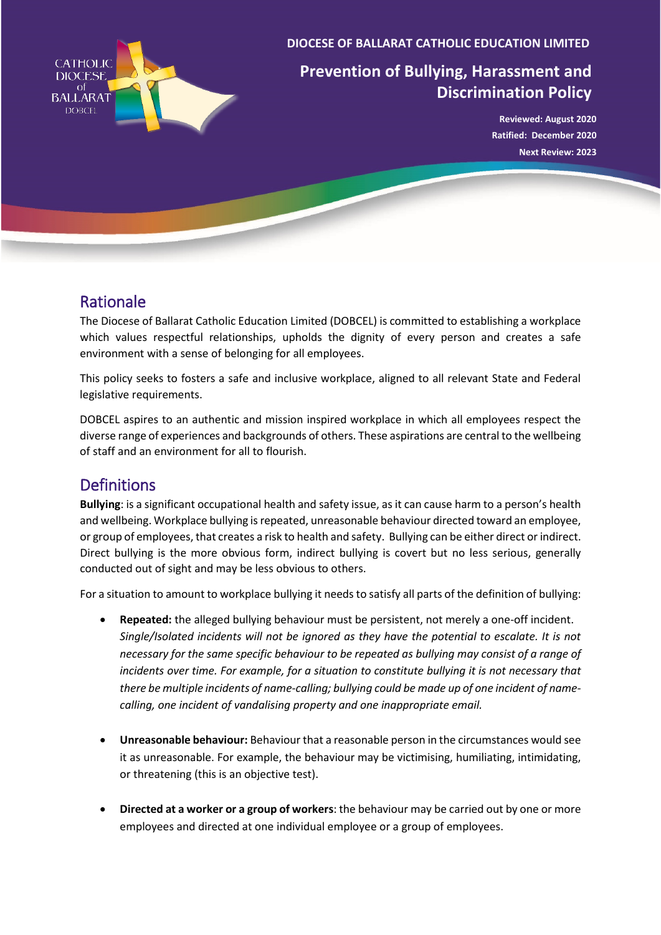

**DIOCESE OF BALLARAT CATHOLIC EDUCATION LIMITED**

# **Prevention of Bullying, Harassment and Discrimination Policy**

**Reviewed: August 2020 Ratified: December 2020 Next Review: 2023**

## Rationale

The Diocese of Ballarat Catholic Education Limited (DOBCEL) is committed to establishing a workplace which values respectful relationships, upholds the dignity of every person and creates a safe environment with a sense of belonging for all employees.

This policy seeks to fosters a safe and inclusive workplace, aligned to all relevant State and Federal legislative requirements.

DOBCEL aspires to an authentic and mission inspired workplace in which all employees respect the diverse range of experiences and backgrounds of others. These aspirations are central to the wellbeing of staff and an environment for all to flourish.

## **Definitions**

**Bullying**: is a significant occupational health and safety issue, as it can cause harm to a person's health and wellbeing. Workplace bullying is repeated, unreasonable behaviour directed toward an employee, or group of employees, that creates a risk to health and safety.Bullying can be either direct or indirect. Direct bullying is the more obvious form, indirect bullying is covert but no less serious, generally conducted out of sight and may be less obvious to others.

For a situation to amount to workplace bullying it needs to satisfy all parts of the definition of bullying:

- **Repeated:** the alleged bullying behaviour must be persistent, not merely a one-off incident. *Single/Isolated incidents will not be ignored as they have the potential to escalate. It is not necessary for the same specific behaviour to be repeated as bullying may consist of a range of incidents over time. For example, for a situation to constitute bullying it is not necessary that there be multiple incidents of name-calling; bullying could be made up of one incident of namecalling, one incident of vandalising property and one inappropriate email.*
- **Unreasonable behaviour:** Behaviour that a reasonable person in the circumstances would see it as unreasonable. For example, the behaviour may be victimising, humiliating, intimidating, or threatening (this is an objective test).
- **Directed at a worker or a group of workers**: the behaviour may be carried out by one or more employees and directed at one individual employee or a group of employees.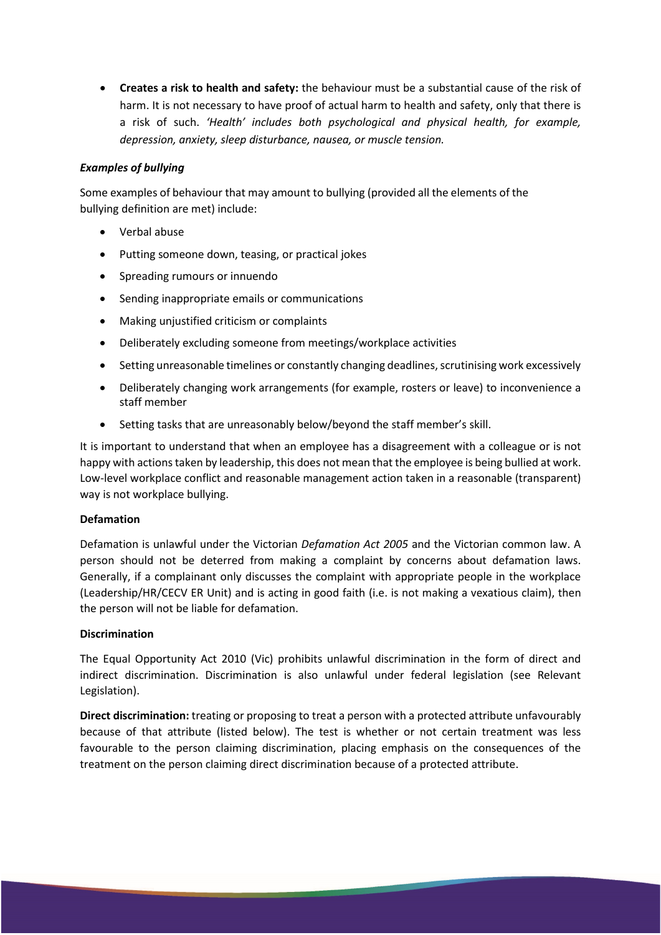• **Creates a risk to health and safety:** the behaviour must be a substantial cause of the risk of harm. It is not necessary to have proof of actual harm to health and safety, only that there is a risk of such. *'Health' includes both psychological and physical health, for example, depression, anxiety, sleep disturbance, nausea, or muscle tension.*

### *Examples of bullying*

Some examples of behaviour that may amount to bullying (provided all the elements of the bullying definition are met) include:

- Verbal abuse
- Putting someone down, teasing, or practical jokes
- Spreading rumours or innuendo
- Sending inappropriate emails or communications
- Making unjustified criticism or complaints
- Deliberately excluding someone from meetings/workplace activities
- Setting unreasonable timelines or constantly changing deadlines, scrutinising work excessively
- Deliberately changing work arrangements (for example, rosters or leave) to inconvenience a staff member
- Setting tasks that are unreasonably below/beyond the staff member's skill.

It is important to understand that when an employee has a disagreement with a colleague or is not happy with actions taken by leadership, this does not mean that the employee is being bullied at work. Low-level workplace conflict and reasonable management action taken in a reasonable (transparent) way is not workplace bullying.

### **Defamation**

Defamation is unlawful under the Victorian *Defamation Act 2005* and the Victorian common law. A person should not be deterred from making a complaint by concerns about defamation laws. Generally, if a complainant only discusses the complaint with appropriate people in the workplace (Leadership/HR/CECV ER Unit) and is acting in good faith (i.e. is not making a vexatious claim), then the person will not be liable for defamation.

### **Discrimination**

The Equal Opportunity Act 2010 (Vic) prohibits unlawful discrimination in the form of direct and indirect discrimination. Discrimination is also unlawful under federal legislation (see Relevant Legislation).

**Direct discrimination:** treating or proposing to treat a person with a protected attribute unfavourably because of that attribute (listed below). The test is whether or not certain treatment was less favourable to the person claiming discrimination, placing emphasis on the consequences of the treatment on the person claiming direct discrimination because of a protected attribute.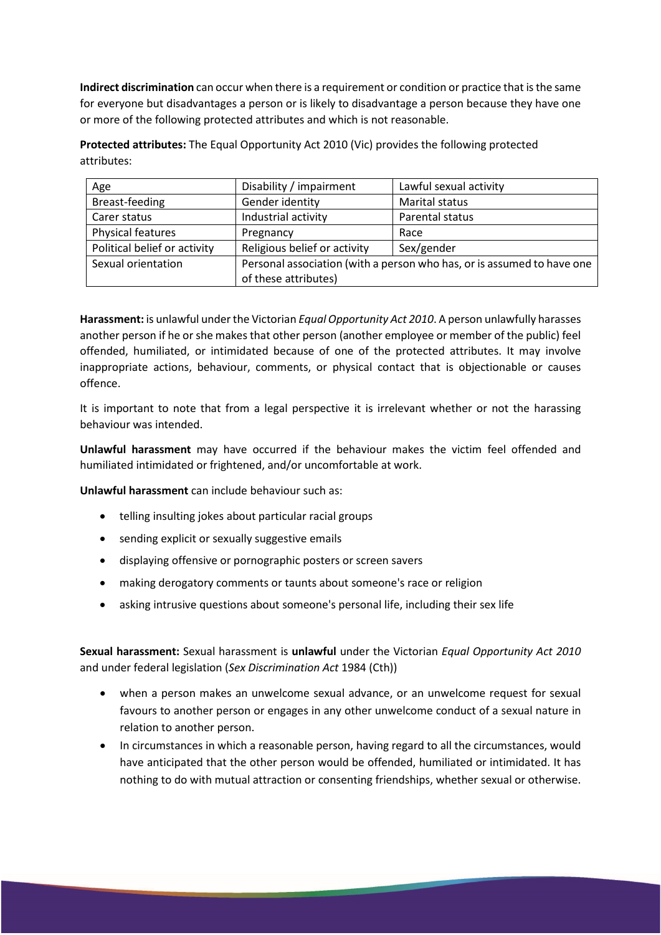**Indirect discrimination** can occur when there is a requirement or condition or practice that is the same for everyone but disadvantages a person or is likely to disadvantage a person because they have one or more of the following protected attributes and which is not reasonable.

**Protected attributes:** The Equal Opportunity Act 2010 (Vic) provides the following protected attributes:

| Age                          | Disability / impairment                                                | Lawful sexual activity |
|------------------------------|------------------------------------------------------------------------|------------------------|
| Breast-feeding               | Gender identity                                                        | <b>Marital status</b>  |
| Carer status                 | Industrial activity                                                    | Parental status        |
| Physical features            | Pregnancy                                                              | Race                   |
| Political belief or activity | Religious belief or activity                                           | Sex/gender             |
| Sexual orientation           | Personal association (with a person who has, or is assumed to have one |                        |
|                              | of these attributes)                                                   |                        |

**Harassment:** is unlawful under the Victorian *Equal Opportunity Act 2010*. A person unlawfully harasses another person if he or she makes that other person (another employee or member of the public) feel offended, humiliated, or intimidated because of one of the protected attributes. It may involve inappropriate actions, behaviour, comments, or physical contact that is objectionable or causes offence.

It is important to note that from a legal perspective it is irrelevant whether or not the harassing behaviour was intended.

**Unlawful harassment** may have occurred if the behaviour makes the victim feel offended and humiliated intimidated or frightened, and/or uncomfortable at work.

**Unlawful harassment** can include behaviour such as:

- telling insulting jokes about particular racial groups
- sending explicit or sexually suggestive emails
- displaying offensive or pornographic posters or screen savers
- making derogatory comments or taunts about someone's race or religion
- asking intrusive questions about someone's personal life, including their sex life

**Sexual harassment:** Sexual harassment is **unlawful** under the Victorian *Equal Opportunity Act 2010* and under federal legislation (*Sex Discrimination Act* 1984 (Cth))

- when a person makes an unwelcome sexual advance, or an unwelcome request for sexual favours to another person or engages in any other unwelcome conduct of a sexual nature in relation to another person.
- In circumstances in which a reasonable person, having regard to all the circumstances, would have anticipated that the other person would be offended, humiliated or intimidated. It has nothing to do with mutual attraction or consenting friendships, whether sexual or otherwise.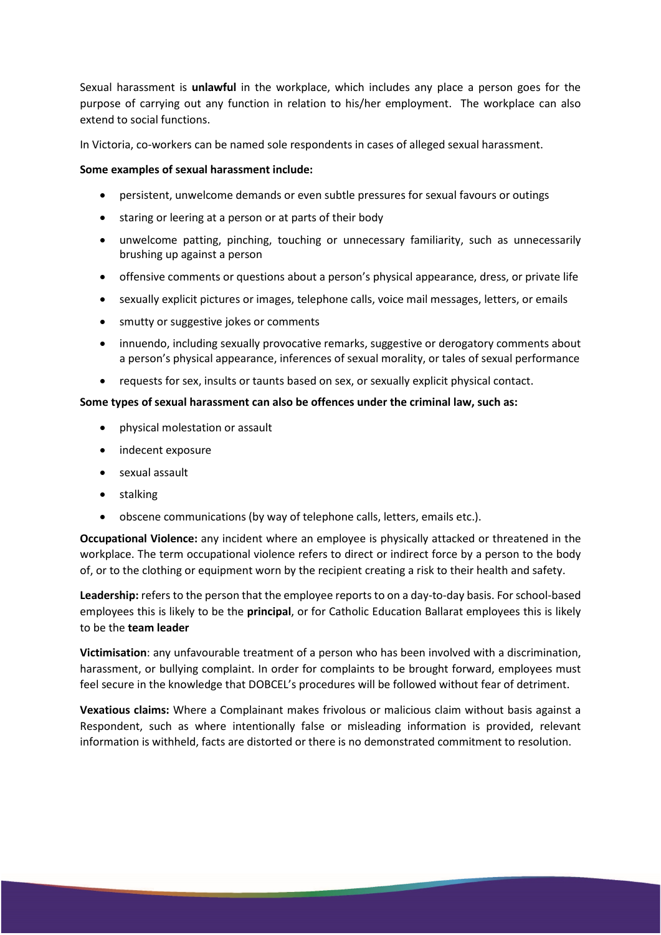Sexual harassment is **unlawful** in the workplace, which includes any place a person goes for the purpose of carrying out any function in relation to his/her employment. The workplace can also extend to social functions.

In Victoria, co-workers can be named sole respondents in cases of alleged sexual harassment.

#### **Some examples of sexual harassment include:**

- persistent, unwelcome demands or even subtle pressures for sexual favours or outings
- staring or leering at a person or at parts of their body
- unwelcome patting, pinching, touching or unnecessary familiarity, such as unnecessarily brushing up against a person
- offensive comments or questions about a person's physical appearance, dress, or private life
- sexually explicit pictures or images, telephone calls, voice mail messages, letters, or emails
- smutty or suggestive jokes or comments
- innuendo, including sexually provocative remarks, suggestive or derogatory comments about a person's physical appearance, inferences of sexual morality, or tales of sexual performance
- requests for sex, insults or taunts based on sex, or sexually explicit physical contact.

#### **Some types of sexual harassment can also be offences under the criminal law, such as:**

- physical molestation or assault
- indecent exposure
- sexual assault
- stalking
- obscene communications (by way of telephone calls, letters, emails etc.).

**Occupational Violence:** any incident where an employee is physically attacked or threatened in the workplace. The term occupational violence refers to direct or indirect force by a person to the body of, or to the clothing or equipment worn by the recipient creating a risk to their health and safety.

**Leadership:** refers to the person that the employee reports to on a day-to-day basis. For school-based employees this is likely to be the **principal**, or for Catholic Education Ballarat employees this is likely to be the **team leader**

**Victimisation**: any unfavourable treatment of a person who has been involved with a discrimination, harassment, or bullying complaint. In order for complaints to be brought forward, employees must feel secure in the knowledge that DOBCEL's procedures will be followed without fear of detriment.

**Vexatious claims:** Where a Complainant makes frivolous or malicious claim without basis against a Respondent, such as where intentionally false or misleading information is provided, relevant information is withheld, facts are distorted or there is no demonstrated commitment to resolution.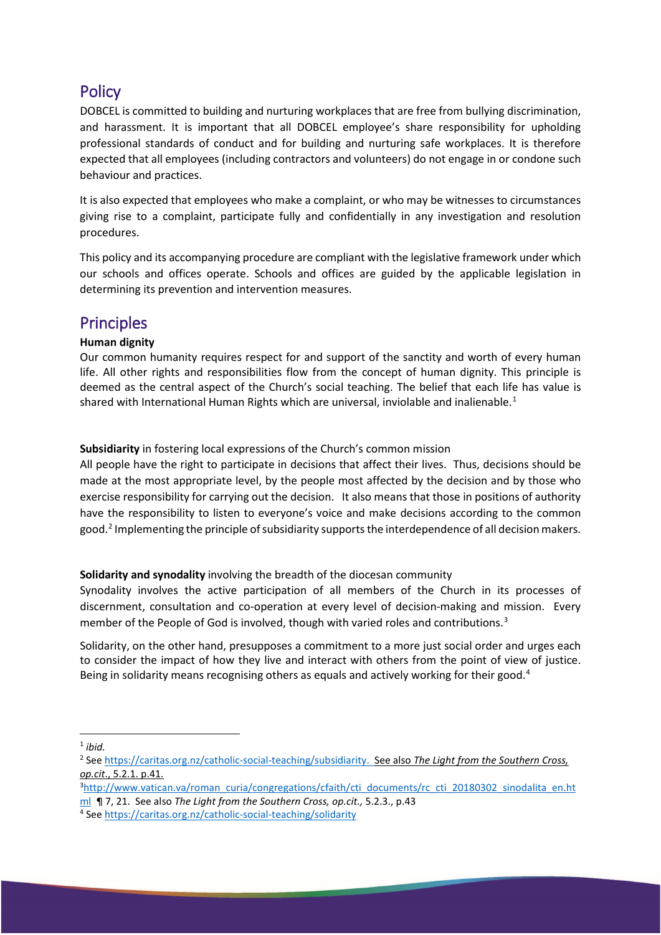## **Policy**

DOBCEL is committed to building and nurturing workplaces that are free from bullying discrimination, and harassment. It is important that all DOBCEL employee's share responsibility for upholding professional standards of conduct and for building and nurturing safe workplaces. It is therefore expected that all employees (including contractors and volunteers) do not engage in or condone such behaviour and practices.

It is also expected that employees who make a complaint, or who may be witnesses to circumstances giving rise to a complaint, participate fully and confidentially in any investigation and resolution procedures.

This policy and its accompanying procedure are compliant with the legislative framework under which our schools and offices operate. Schools and offices are guided by the applicable legislation in determining its prevention and intervention measures.

## **Principles**

### **Human dignity**

Our common humanity requires respect for and support of the sanctity and worth of every human life. All other rights and responsibilities flow from the concept of human dignity. This principle is deemed as the central aspect of the Church's social teaching. The belief that each life has value is shared with International Human Rights which are universal, inviolable and inalienable.<sup>[1](#page-4-0)</sup>

**Subsidiarity** in fostering local expressions of the Church's common mission

All people have the right to participate in decisions that affect their lives. Thus, decisions should be made at the most appropriate level, by the people most affected by the decision and by those who exercise responsibility for carrying out the decision. It also means that those in positions of authority have the responsibility to listen to everyone's voice and make decisions according to the common good.[2](#page-4-1) Implementing the principle of subsidiarity supports the interdependence of all decision makers.

### **Solidarity and synodality** involving the breadth of the diocesan community

Synodality involves the active participation of all members of the Church in its processes of discernment, consultation and co-operation at every level of decision-making and mission. Every member of the People of God is involved, though with varied roles and contributions.<sup>[3](#page-4-2)</sup>

Solidarity, on the other hand, presupposes a commitment to a more just social order and urges each to consider the impact of how they live and interact with others from the point of view of justice. Being in solidarity means recognising others as equals and actively working for their good.<sup>[4](#page-4-3)</sup>

<span id="page-4-3"></span><sup>4</sup> See<https://caritas.org.nz/catholic-social-teaching/solidarity>

<span id="page-4-0"></span> <sup>1</sup> *ibid.*

<span id="page-4-1"></span><sup>2</sup> See [https://caritas.org.nz/catholic-social-teaching/subsidiarity.](https://caritas.org.nz/catholic-social-teaching/subsidiarity) See also *The Light from the Southern Cross, op.cit*., 5.2.1. p.41.

<span id="page-4-2"></span><sup>&</sup>lt;sup>3</sup>[http://www.vatican.va/roman\\_curia/congregations/cfaith/cti\\_documents/rc\\_cti\\_20180302\\_sinodalita\\_en.ht](http://www.vatican.va/roman_curia/congregations/cfaith/cti_documents/rc_cti_20180302_sinodalita_en.html) [ml](http://www.vatican.va/roman_curia/congregations/cfaith/cti_documents/rc_cti_20180302_sinodalita_en.html) ¶ 7, 21. See also *The Light from the Southern Cross, op.cit.,* 5.2.3., p.43